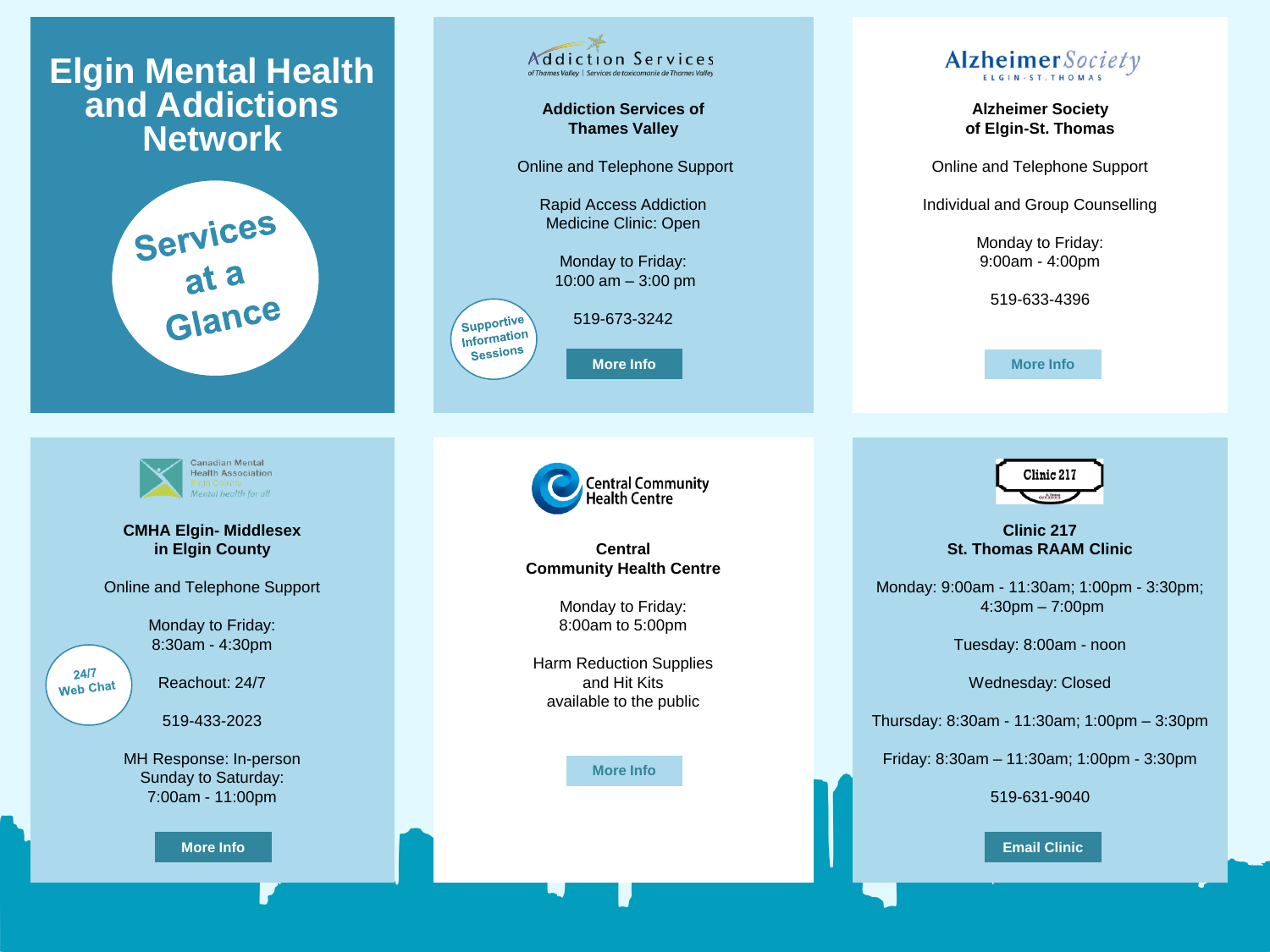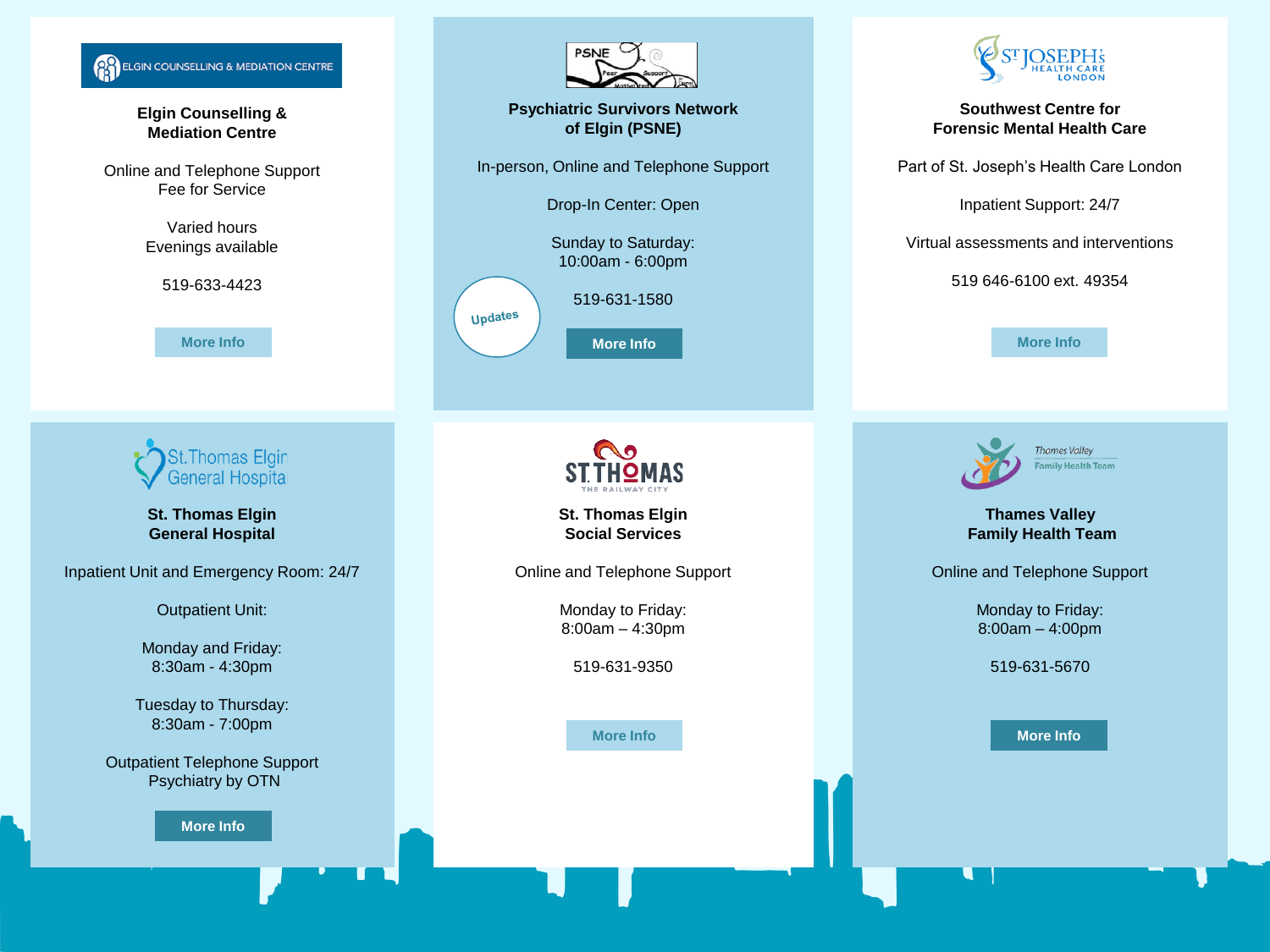